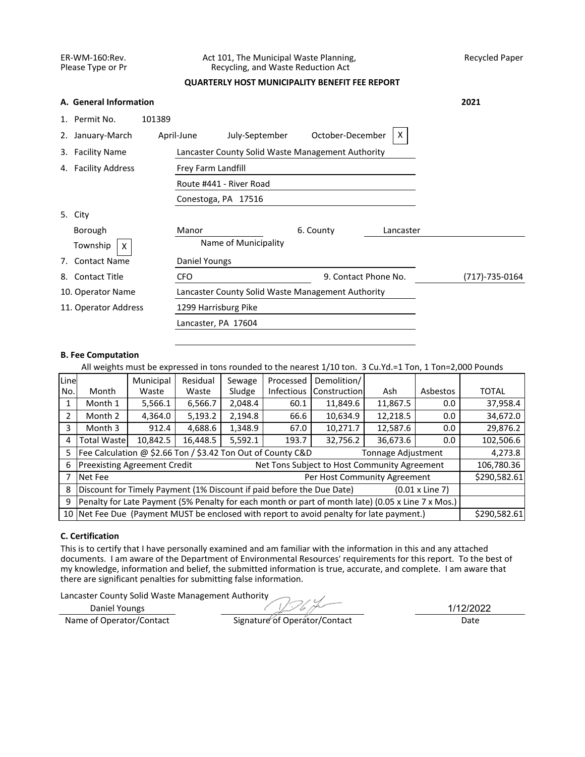## ER-WM-160:Rev. Act 101, The Municipal Waste Planning, Recycled Paper<br>Please Type or Pr Recycling, and Waste Reduction Act Recycling, and Waste Reduction Act

# **QUARTERLY HOST MUNICIPALITY BENEFIT FEE REPORT**

|    | A. General Information |                                                       | 2021           |
|----|------------------------|-------------------------------------------------------|----------------|
|    | 1. Permit No.          | 101389                                                |                |
| 2. | January-March          | Χ<br>October-December<br>April-June<br>July-September |                |
|    | 3. Facility Name       | Lancaster County Solid Waste Management Authority     |                |
|    | 4. Facility Address    | Frey Farm Landfill                                    |                |
|    |                        | Route #441 - River Road                               |                |
|    |                        | Conestoga, PA 17516                                   |                |
|    | 5. City                |                                                       |                |
|    | Borough                | Manor<br>6. County<br>Lancaster                       |                |
|    | Township<br>X          | Name of Municipality                                  |                |
| 7. | <b>Contact Name</b>    | Daniel Youngs                                         |                |
| 8. | <b>Contact Title</b>   | 9. Contact Phone No.<br><b>CFO</b>                    | (717)-735-0164 |
|    | 10. Operator Name      | Lancaster County Solid Waste Management Authority     |                |
|    | 11. Operator Address   | 1299 Harrisburg Pike                                  |                |
|    |                        | Lancaster, PA 17604                                   |                |

## **B. Fee Computation**

All weights must be expressed in tons rounded to the nearest 1/10 ton. 3 Cu.Yd.=1 Ton, 1 Ton=2,000 Pounds

| Line |                                                                                                   | Municipal | Residual | Sewage  | Processed | Demolition/               |          |          |              |  |  |
|------|---------------------------------------------------------------------------------------------------|-----------|----------|---------|-----------|---------------------------|----------|----------|--------------|--|--|
| No.  | Month                                                                                             | Waste     | Waste    | Sludge  |           | Infectious   Construction | Ash      | Asbestos | <b>TOTAL</b> |  |  |
|      | Month 1                                                                                           | 5,566.1   | 6,566.7  | 2,048.4 | 60.1      | 11,849.6                  | 11,867.5 | 0.0      | 37,958.4     |  |  |
|      | Month 2                                                                                           | 4,364.0   | 5,193.2  | 2,194.8 | 66.6      | 10,634.9                  | 12,218.5 | 0.0      | 34,672.0     |  |  |
| 3    | Month 3                                                                                           | 912.4     | 4,688.6  | 1,348.9 | 67.0      | 10,271.7                  | 12,587.6 | 0.0      | 29,876.2     |  |  |
| 4    | <b>Total Wastel</b>                                                                               | 10,842.5  | 16,448.5 | 5,592.1 | 193.7     | 32,756.2                  | 36,673.6 | 0.0      | 102,506.6    |  |  |
| 5    | Fee Calculation @ \$2.66 Ton / \$3.42 Ton Out of County C&D<br>Tonnage Adjustment                 |           |          |         |           |                           |          |          |              |  |  |
| 6    | <b>Preexisting Agreement Credit</b><br>Net Tons Subject to Host Community Agreement               |           |          |         |           |                           |          |          |              |  |  |
|      | Per Host Community Agreement<br>Net Fee                                                           |           |          |         |           |                           |          |          |              |  |  |
| 8    | Discount for Timely Payment (1% Discount if paid before the Due Date)<br>$(0.01 \times$ Line 7)   |           |          |         |           |                           |          |          |              |  |  |
| 9    | Penalty for Late Payment (5% Penalty for each month or part of month late) (0.05 x Line 7 x Mos.) |           |          |         |           |                           |          |          |              |  |  |
|      | 10 Net Fee Due (Payment MUST be enclosed with report to avoid penalty for late payment.)          |           |          |         |           |                           |          |          |              |  |  |

# **C. Certification**

This is to certify that I have personally examined and am familiar with the information in this and any attached documents. I am aware of the Department of Environmental Resources' requirements for this report. To the best of my knowledge, information and belief, the submitted information is true, accurate, and complete. I am aware that there are significant penalties for submitting false information.

Lancaster County Solid Waste Management Authority

Daniel Youngs

1/12/2022

Name of Operator/Contact Signature of Operator/Contact Date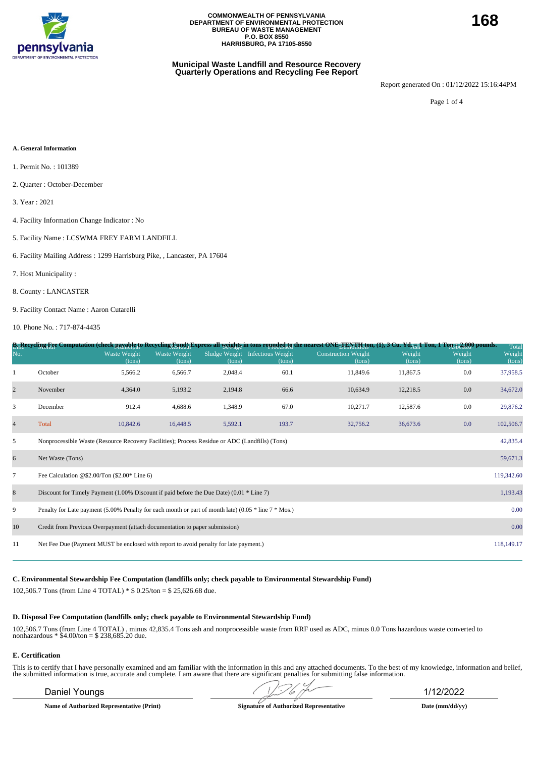

#### **Municipal Waste Landfill and Resource Recovery Quarterly Operations and Recycling Fee Report**

Report generated On : 01/12/2022 15:16:44PM

Page 1 of 4

#### **A. General Information**

- 1. Permit No. : 101389
- 2. Quarter : October-December
- 3. Year : 2021
- 4. Facility Information Change Indicator : No
- 5. Facility Name : LCSWMA FREY FARM LANDFILL
- 6. Facility Mailing Address : 1299 Harrisburg Pike, , Lancaster, PA 17604
- 7. Host Municipality :
- 8. County : LANCASTER
- 9. Facility Contact Name : Aaron Cutarelli
- 10. Phone No. : 717-874-4435

|                |                                                                                                                  |                               |                        |         |                                           | B <sub>11</sub> Recycling Fee Computation (check payable to Recycling Eynd) Express all <u>weights</u> in tons rounded to nearest ONE <sub>T En</sub> y Haton, (1), 3 Cu. Yd <sub>AUI</sub> Ton, 1 Ton 52,000 pounds. |                  |                  | Total            |  |  |
|----------------|------------------------------------------------------------------------------------------------------------------|-------------------------------|------------------------|---------|-------------------------------------------|-----------------------------------------------------------------------------------------------------------------------------------------------------------------------------------------------------------------------|------------------|------------------|------------------|--|--|
| No.            |                                                                                                                  | <b>Waste Weight</b><br>(tons) | Waste Weight<br>(tons) | (tons)  | Sludge Weight Infectious Weight<br>(tons) | <b>Construction Weight</b><br>(tons)                                                                                                                                                                                  | Weight<br>(tons) | Weight<br>(tons) | Weight<br>(tons) |  |  |
|                | October                                                                                                          | 5,566.2                       | 6,566.7                | 2,048.4 | 60.1                                      | 11,849.6                                                                                                                                                                                                              | 11,867.5         | 0.0              | 37,958.5         |  |  |
| $\overline{2}$ | November                                                                                                         | 4,364.0                       | 5,193.2                | 2,194.8 | 66.6                                      | 10,634.9                                                                                                                                                                                                              | 12,218.5         | 0.0              | 34,672.0         |  |  |
| 3              | December                                                                                                         | 912.4                         | 4,688.6                | 1,348.9 | 67.0                                      | 10,271.7                                                                                                                                                                                                              | 12,587.6         | 0.0              | 29,876.2         |  |  |
| $\overline{4}$ | Total                                                                                                            | 10,842.6                      | 16,448.5               | 5,592.1 | 193.7                                     | 32,756.2                                                                                                                                                                                                              | 36,673.6         | 0.0              | 102,506.7        |  |  |
| 5              | Nonprocessible Waste (Resource Recovery Facilities); Process Residue or ADC (Landfills) (Tons)<br>42,835.4       |                               |                        |         |                                           |                                                                                                                                                                                                                       |                  |                  |                  |  |  |
| 6              | 59,671.3<br>Net Waste (Tons)                                                                                     |                               |                        |         |                                           |                                                                                                                                                                                                                       |                  |                  |                  |  |  |
| $\tau$         | 119,342.60<br>Fee Calculation @\$2.00/Ton $(\$2.00*$ Line 6)                                                     |                               |                        |         |                                           |                                                                                                                                                                                                                       |                  |                  |                  |  |  |
| 8              | Discount for Timely Payment $(1.00\%$ Discount if paid before the Due Date) $(0.01 * Line 7)$                    |                               |                        |         |                                           |                                                                                                                                                                                                                       |                  |                  | 1,193.43         |  |  |
| 9              | 0.00<br>Penalty for Late payment (5.00% Penalty for each month or part of month late) (0.05 $*$ line 7 $*$ Mos.) |                               |                        |         |                                           |                                                                                                                                                                                                                       |                  |                  |                  |  |  |
| 10             | 0.00<br>Credit from Previous Overpayment (attach documentation to paper submission)                              |                               |                        |         |                                           |                                                                                                                                                                                                                       |                  |                  |                  |  |  |
| 11             | Net Fee Due (Payment MUST be enclosed with report to avoid penalty for late payment.)                            |                               |                        |         |                                           |                                                                                                                                                                                                                       |                  |                  | 118,149.17       |  |  |
|                |                                                                                                                  |                               |                        |         |                                           |                                                                                                                                                                                                                       |                  |                  |                  |  |  |

#### **C. Environmental Stewardship Fee Computation (landfills only; check payable to Environmental Stewardship Fund)**

102,506.7 Tons (from Line 4 TOTAL) \* \$ 0.25/ton = \$ 25,626.68 due.

#### **D. Disposal Fee Computation (landfills only; check payable to Environmental Stewardship Fund)**

102,506.7 Tons (from Line 4 TOTAL) , minus 42,835.4 Tons ash and nonprocessible waste from RRF used as ADC, minus 0.0 Tons hazardous waste converted to nonhazardous \* \$4.00/ton = \$ 238,685.20 due.

#### **E. Certification**

This is to certify that I have personally examined and am familiar with the information in this and any attached documents. To the best of my knowledge, information and belief, the submitted information is true, accurate a

**Name of Authorized Representative (Print) Signature of Authorized Representative Date (mm/dd/yy)**

Daniel Youngs 1/12/2022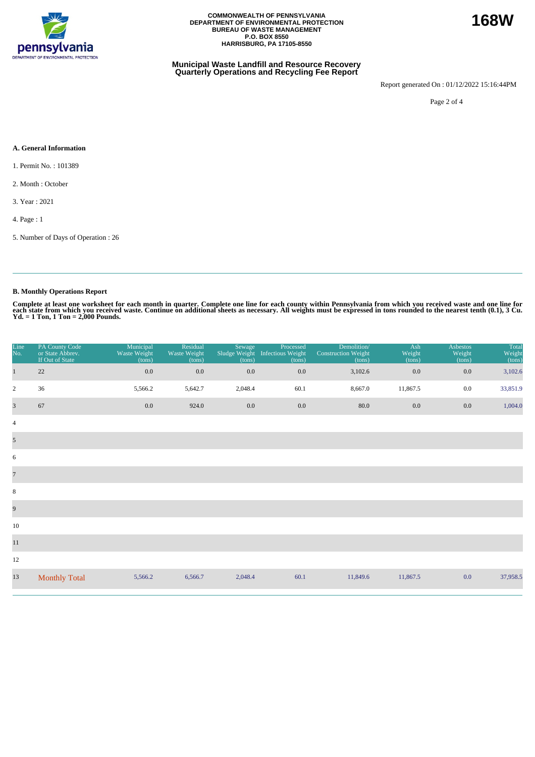

#### **Municipal Waste Landfill and Resource Recovery Quarterly Operations and Recycling Fee Report**

Report generated On : 01/12/2022 15:16:44PM

Page 2 of 4

#### **A. General Information**

- 1. Permit No. : 101389
- 2. Month : October
- 3. Year : 2021
- 4. Page : 1
- 5. Number of Days of Operation : 26

## **B. Monthly Operations Report**

Complete at least one worksheet for each month in quarter. Complete one line for each county within Pennsylvania from which you received waste and one line for<br>each state from which you received waste. Continue on addition

| Line<br>No.             | PA County Code<br>or State Abbrev.<br>If Out of State | Municipal<br>Waste Weight<br>(tons) | Residual<br>Waste Weight<br>(tons) | Sewage<br>Sludge Weight<br>(tons) | Processed<br>Infectious Weight<br>(tons) | Demolition/<br><b>Construction Weight</b><br>(tons) | Ash<br>Weight<br>(tons) | <b>Asbestos</b><br>Weight<br>(tons) | <b>Total</b><br>Weight<br>(tons) |
|-------------------------|-------------------------------------------------------|-------------------------------------|------------------------------------|-----------------------------------|------------------------------------------|-----------------------------------------------------|-------------------------|-------------------------------------|----------------------------------|
| $\mathbf{1}$            | $22\,$                                                | 0.0                                 | $0.0\,$                            | 0.0                               | $0.0\,$                                  | 3,102.6                                             | $0.0\,$                 | 0.0                                 | 3,102.6                          |
| $\overline{2}$          | 36                                                    | 5,566.2                             | 5,642.7                            | 2,048.4                           | 60.1                                     | 8,667.0                                             | 11,867.5                | $0.0\,$                             | 33,851.9                         |
| $\overline{\mathbf{3}}$ | 67                                                    | 0.0                                 | 924.0                              | $0.0\,$                           | $0.0\,$                                  | 80.0                                                | 0.0                     | $0.0\,$                             | 1,004.0                          |
| $\overline{4}$          |                                                       |                                     |                                    |                                   |                                          |                                                     |                         |                                     |                                  |
| $\mathfrak{S}$          |                                                       |                                     |                                    |                                   |                                          |                                                     |                         |                                     |                                  |
| 6                       |                                                       |                                     |                                    |                                   |                                          |                                                     |                         |                                     |                                  |
| $\overline{7}$          |                                                       |                                     |                                    |                                   |                                          |                                                     |                         |                                     |                                  |
| $\,8\,$                 |                                                       |                                     |                                    |                                   |                                          |                                                     |                         |                                     |                                  |
| 9                       |                                                       |                                     |                                    |                                   |                                          |                                                     |                         |                                     |                                  |
| 10                      |                                                       |                                     |                                    |                                   |                                          |                                                     |                         |                                     |                                  |
| 11                      |                                                       |                                     |                                    |                                   |                                          |                                                     |                         |                                     |                                  |
| 12                      |                                                       |                                     |                                    |                                   |                                          |                                                     |                         |                                     |                                  |
| 13                      | <b>Monthly Total</b>                                  | 5,566.2                             | 6,566.7                            | 2,048.4                           | 60.1                                     | 11,849.6                                            | 11,867.5                | 0.0                                 | 37,958.5                         |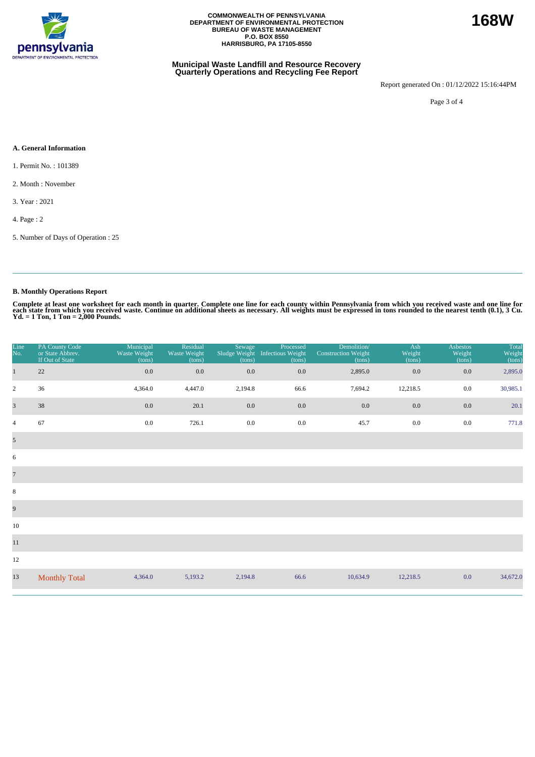

#### **Municipal Waste Landfill and Resource Recovery Quarterly Operations and Recycling Fee Report**

Report generated On : 01/12/2022 15:16:44PM

Page 3 of 4

#### **A. General Information**

- 1. Permit No. : 101389
- 2. Month : November
- 3. Year : 2021
- 4. Page : 2
- 5. Number of Days of Operation : 25

# **B. Monthly Operations Report**

Complete at least one worksheet for each month in quarter. Complete one line for each county within Pennsylvania from which you received waste and one line for<br>each state from which you received waste. Continue on addition

| Line<br>No.             | PA County Code<br>or State Abbrev.<br>If Out of State | Municipal<br>Waste Weight<br>(tons) | Residual<br>Waste Weight<br>(tons) | Sewage<br>Sludge Weight<br>(tons) | Processed<br>Infectious Weight<br>(tons) | Demolition/<br><b>Construction Weight</b><br>(tons) | Ash<br>Weight<br>(tons) | Asbestos<br>Weight<br>(tons) | Total<br>Weight<br>(tons) |
|-------------------------|-------------------------------------------------------|-------------------------------------|------------------------------------|-----------------------------------|------------------------------------------|-----------------------------------------------------|-------------------------|------------------------------|---------------------------|
| $\mathbf{1}$            | 22                                                    | $0.0\,$                             | $0.0\,$                            | 0.0                               | 0.0                                      | 2,895.0                                             | 0.0                     | 0.0                          | 2,895.0                   |
| $\sqrt{2}$              | 36                                                    | 4,364.0                             | 4,447.0                            | 2,194.8                           | 66.6                                     | 7,694.2                                             | 12,218.5                | $0.0\,$                      | 30,985.1                  |
| $\overline{\mathbf{3}}$ | 38                                                    | 0.0                                 | 20.1                               | 0.0                               | 0.0                                      | 0.0                                                 | 0.0                     | $0.0\,$                      | 20.1                      |
| $\overline{4}$          | 67                                                    | 0.0                                 | 726.1                              | $0.0\,$                           | $0.0\,$                                  | 45.7                                                | 0.0                     | 0.0                          | 771.8                     |
| $\overline{5}$          |                                                       |                                     |                                    |                                   |                                          |                                                     |                         |                              |                           |
| 6                       |                                                       |                                     |                                    |                                   |                                          |                                                     |                         |                              |                           |
| $\overline{7}$          |                                                       |                                     |                                    |                                   |                                          |                                                     |                         |                              |                           |
| $\,8\,$                 |                                                       |                                     |                                    |                                   |                                          |                                                     |                         |                              |                           |
| $\overline{9}$          |                                                       |                                     |                                    |                                   |                                          |                                                     |                         |                              |                           |
| 10                      |                                                       |                                     |                                    |                                   |                                          |                                                     |                         |                              |                           |
| $11\,$                  |                                                       |                                     |                                    |                                   |                                          |                                                     |                         |                              |                           |
| 12                      |                                                       |                                     |                                    |                                   |                                          |                                                     |                         |                              |                           |
| 13                      | <b>Monthly Total</b>                                  | 4,364.0                             | 5,193.2                            | 2,194.8                           | 66.6                                     | 10,634.9                                            | 12,218.5                | 0.0                          | 34,672.0                  |